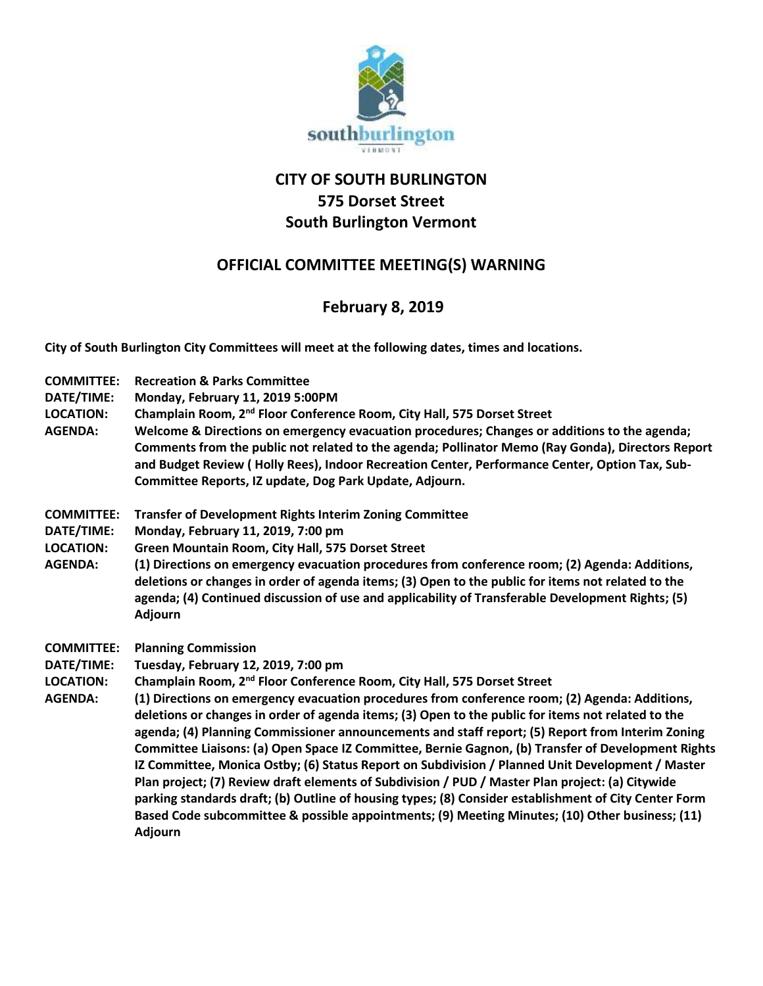

## **CITY OF SOUTH BURLINGTON 575 Dorset Street South Burlington Vermont**

## **OFFICIAL COMMITTEE MEETING(S) WARNING**

## **February 8, 2019**

**City of South Burlington City Committees will meet at the following dates, times and locations.** 

**COMMITTEE: Recreation & Parks Committee DATE/TIME: Monday, February 11, 2019 5:00PM LOCATION: Champlain Room, 2nd Floor Conference Room, City Hall, 575 Dorset Street AGENDA: Welcome & Directions on emergency evacuation procedures; Changes or additions to the agenda; Comments from the public not related to the agenda; Pollinator Memo (Ray Gonda), Directors Report and Budget Review ( Holly Rees), Indoor Recreation Center, Performance Center, Option Tax, Sub-Committee Reports, IZ update, Dog Park Update, Adjourn. COMMITTEE: Transfer of Development Rights Interim Zoning Committee DATE/TIME: Monday, February 11, 2019, 7:00 pm LOCATION: Green Mountain Room, City Hall, 575 Dorset Street AGENDA: (1) Directions on emergency evacuation procedures from conference room; (2) Agenda: Additions, deletions or changes in order of agenda items; (3) Open to the public for items not related to the agenda; (4) Continued discussion of use and applicability of Transferable Development Rights; (5) Adjourn COMMITTEE: Planning Commission DATE/TIME: Tuesday, February 12, 2019, 7:00 pm LOCATION: Champlain Room, 2nd Floor Conference Room, City Hall, 575 Dorset Street AGENDA: (1) Directions on emergency evacuation procedures from conference room; (2) Agenda: Additions, deletions or changes in order of agenda items; (3) Open to the public for items not related to the agenda; (4) Planning Commissioner announcements and staff report; (5) Report from Interim Zoning Committee Liaisons: (a) Open Space IZ Committee, Bernie Gagnon, (b) Transfer of Development Rights IZ Committee, Monica Ostby; (6) Status Report on Subdivision / Planned Unit Development / Master Plan project; (7) Review draft elements of Subdivision / PUD / Master Plan project: (a) Citywide parking standards draft; (b) Outline of housing types; (8) Consider establishment of City Center Form Based Code subcommittee & possible appointments; (9) Meeting Minutes; (10) Other business; (11) Adjourn**